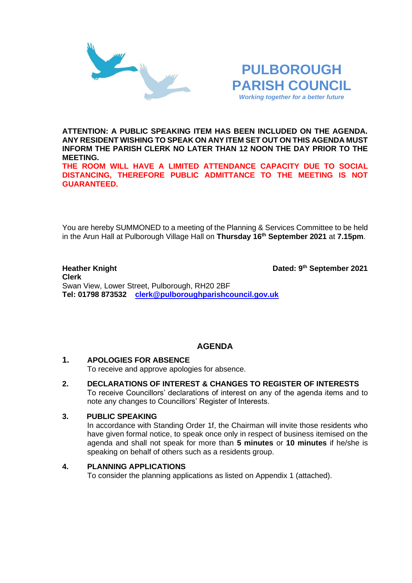



**ATTENTION: A PUBLIC SPEAKING ITEM HAS BEEN INCLUDED ON THE AGENDA. ANY RESIDENT WISHING TO SPEAK ON ANY ITEM SET OUT ON THIS AGENDA MUST INFORM THE PARISH CLERK NO LATER THAN 12 NOON THE DAY PRIOR TO THE MEETING.**

**THE ROOM WILL HAVE A LIMITED ATTENDANCE CAPACITY DUE TO SOCIAL DISTANCING, THEREFORE PUBLIC ADMITTANCE TO THE MEETING IS NOT GUARANTEED.**

You are hereby SUMMONED to a meeting of the Planning & Services Committee to be held in the Arun Hall at Pulborough Village Hall on **Thursday 16th September 2021** at **7.15pm**.

#### **Heather Knight th September 2021 Clerk**  Swan View, Lower Street, Pulborough, RH20 2BF **Tel: 01798 873532 [clerk@pulboroughparishcouncil.gov.uk](mailto:clerk@pulboroughparishcouncil.gov.uk)**

# **AGENDA**

## **1. APOLOGIES FOR ABSENCE**

To receive and approve apologies for absence.

**2. DECLARATIONS OF INTEREST & CHANGES TO REGISTER OF INTERESTS** To receive Councillors' declarations of interest on any of the agenda items and to note any changes to Councillors' Register of Interests.

## **3. PUBLIC SPEAKING**

In accordance with Standing Order 1f, the Chairman will invite those residents who have given formal notice, to speak once only in respect of business itemised on the agenda and shall not speak for more than **5 minutes** or **10 minutes** if he/she is speaking on behalf of others such as a residents group.

## **4. PLANNING APPLICATIONS**

To consider the planning applications as listed on Appendix 1 (attached).